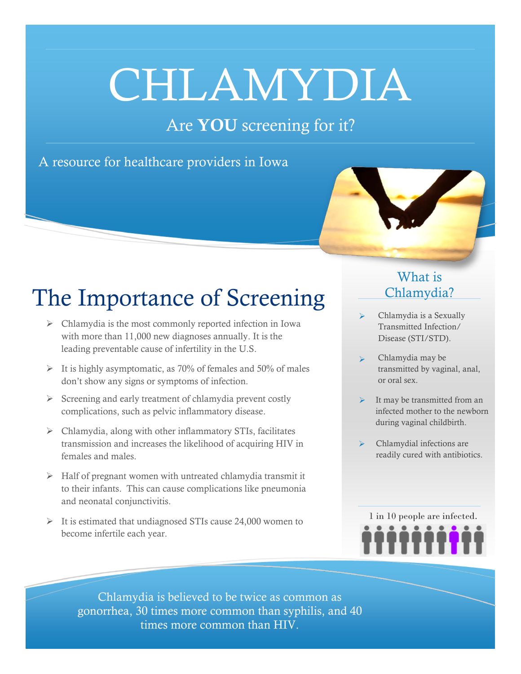# CHLAMYDIA

### Are **YOU** screening for it?

#### A resource for healthcare providers in Iowa



# The Importance of Screening

- $\triangleright$  Chlamydia is the most commonly reported infection in Iowa with more than 11,000 new diagnoses annually. It is the leading preventable cause of infertility in the U.S.
- $\triangleright$  It is highly asymptomatic, as 70% of females and 50% of males don't show any signs or symptoms of infection.
- $\triangleright$  Screening and early treatment of chlamydia prevent costly complications, such as pelvic inflammatory disease.
- $\triangleright$  Chlamydia, along with other inflammatory STIs, facilitates transmission and increases the likelihood of acquiring HIV in females and males.
- $\triangleright$  Half of pregnant women with untreated chlamydia transmit it to their infants. This can cause complications like pneumonia and neonatal conjunctivitis.
- $\triangleright$  It is estimated that undiagnosed STIs cause 24,000 women to become infertile each year.

#### What is Chlamydia?

- Chlamydia is a Sexually Transmitted Infection/ Disease (STI/STD).
- Chlamydia may be transmitted by vaginal, anal, or oral sex.
- It may be transmitted from an infected mother to the newborn during vaginal childbirth.
- Chlamydial infections are readily cured with antibiotics.



Chlamydia is believed to be twice as common as gonorrhea, 30 times more common than syphilis, and 40 times more common than HIV.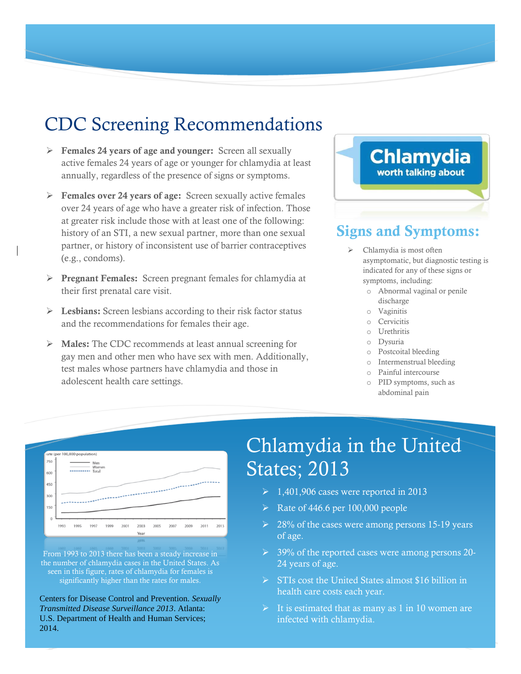## CDC Screening Recommendations

- **Females 24 years of age and younger:** Screen all sexually active females 24 years of age or younger for chlamydia at least annually, regardless of the presence of signs or symptoms.
- **Females over 24 years of age:** Screen sexually active females over 24 years of age who have a greater risk of infection. Those at greater risk include those with at least one of the following: history of an STI, a new sexual partner, more than one sexual partner, or history of inconsistent use of barrier contraceptives (e.g., condoms).
- **Pregnant Females:** Screen pregnant females for chlamydia at their first prenatal care visit.
- **Lesbians:** Screen lesbians according to their risk factor status and the recommendations for females their age.
- **Males:** The CDC recommends at least annual screening for gay men and other men who have sex with men. Additionally, test males whose partners have chlamydia and those in adolescent health care settings.

# **Chlamydia** worth talking about

#### **Signs and Symptoms:**

- Chlamydia is most often asymptomatic, but diagnostic testing is indicated for any of these signs or symptoms, including:
	- o Abnormal vaginal or penile discharge
	- o Vaginitis
	- o Cervicitis
	- o Urethritis
	- o Dysuria
	- o Postcoital bleeding
	- o Intermenstrual bleeding
	- o Painful intercourse
	- o PID symptoms, such as abdominal pain



From 1993 to 2013 there has been a steady increase in the number of chlamydia cases in the United States. As seen in this figure, rates of chlamydia for females is significantly higher than the rates for males.

Centers for Disease Control and Prevention. *Sexually Transmitted Disease Surveillance 2013*. Atlanta: U.S. Department of Health and Human Services; 2014.

# Chlamydia in the United States; 2013

- $\geq 1,401,906$  cases were reported in 2013
- $\triangleright$  Rate of 446.6 per 100,000 people
- $\geq 28\%$  of the cases were among persons 15-19 years of age.
- ▶ 39% of the reported cases were among persons 20-24 years of age.
- $\triangleright$  STIs cost the United States almost \$16 billion in health care costs each year.
- It is estimated that as many as 1 in 10 women are infected with chlamydia.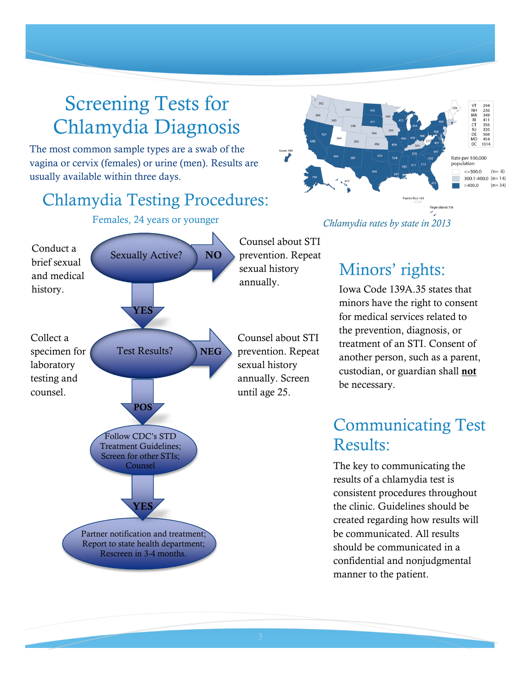# Screening Tests for Chlamydia Diagnosis

The most common sample types are a swab of the vagina or cervix (females) or urine (men). Results are usually available within three days.

#### Chlamydia Testing Procedures:





Counsel about STI prevention. Repeat sexual history

Counsel about STI prevention. Repeat sexual history annually. Screen

294<br>236<br>349<br>411 フルスロリロの 356<br>320<br>568<br>454<br>1014 Rate per 100,000 population  $\leq$  300.0  $(n=6)$ 300.1-400.0  $(n=14)$  $>400.0$  $(n=34)$ Puerto Rico 163 .<br>Virgin Islands 736 *Chlamydia rates by state in 2013*

## Minors' rights:

Iowa Code 139A.35 states that minors have the right to consent for medical services related to the prevention, diagnosis, or treatment of an STI. Consent of another person, such as a parent, custodian, or guardian shall **not** be necessary.

#### Communicating Test Results:

The key to communicating the results of a chlamydia test is consistent procedures throughout the clinic. Guidelines should be created regarding how results will be communicated. All results should be communicated in a confidential and nonjudgmental manner to the patient.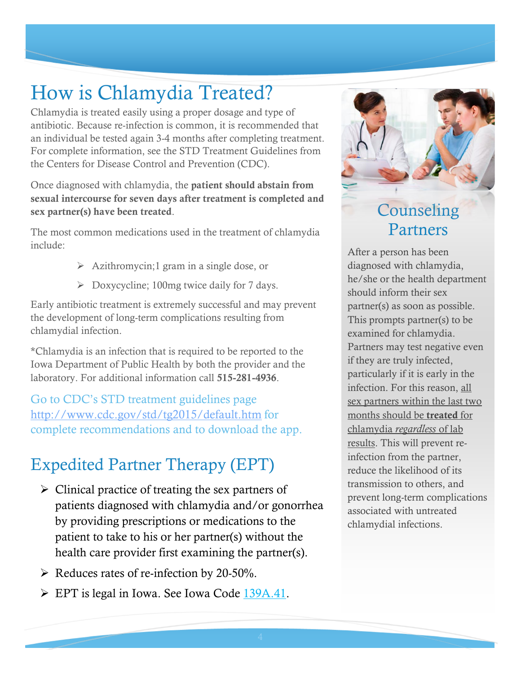# How is Chlamydia Treated?

Chlamydia is treated easily using a proper dosage and type of antibiotic. Because re-infection is common, it is recommended that an individual be tested again 3-4 months after completing treatment. For complete information, see the STD Treatment Guidelines from the Centers for Disease Control and Prevention (CDC).

Once diagnosed with chlamydia, the **patient should abstain from sexual intercourse for seven days after treatment is completed and sex partner(s) have been treated**.

The most common medications used in the treatment of chlamydia include:

- $\triangleright$  Azithromycin;1 gram in a single dose, or
- $\triangleright$  Doxycycline; 100mg twice daily for 7 days.

Early antibiotic treatment is extremely successful and may prevent the development of long-term complications resulting from chlamydial infection.

\*Chlamydia is an infection that is required to be reported to the Iowa Department of Public Health by both the provider and the laboratory. For additional information call **515-281-4936**.

Go to CDC's STD treatment guidelines page <http://www.cdc.gov/std/tg2015/default.htm> for complete recommendations and to download the app.

#### Expedited Partner Therapy (EPT)

- $\triangleright$  Clinical practice of treating the sex partners of patients diagnosed with chlamydia and/or gonorrhea by providing prescriptions or medications to the patient to take to his or her partner(s) without the health care provider first examining the partner(s).
- $\triangleright$  Reduces rates of re-infection by 20-50%.
- $\triangleright$  EPT is legal in Iowa. See Iowa Code [139A.41.](https://coolice.legis.iowa.gov/Cool-ICE/default.asp?category=billinfo&service=IowaCode&ga=83&input=139A#139A.41)



## **Counseling** Partners

After a person has been diagnosed with chlamydia, he/she or the health department should inform their sex partner(s) as soon as possible. This prompts partner(s) to be examined for chlamydia. Partners may test negative even if they are truly infected, particularly if it is early in the infection. For this reason, all sex partners within the last two months should be **treated** for chlamydia *regardless* of lab results. This will prevent reinfection from the partner, reduce the likelihood of its transmission to others, and prevent long-term complications associated with untreated chlamydial infections.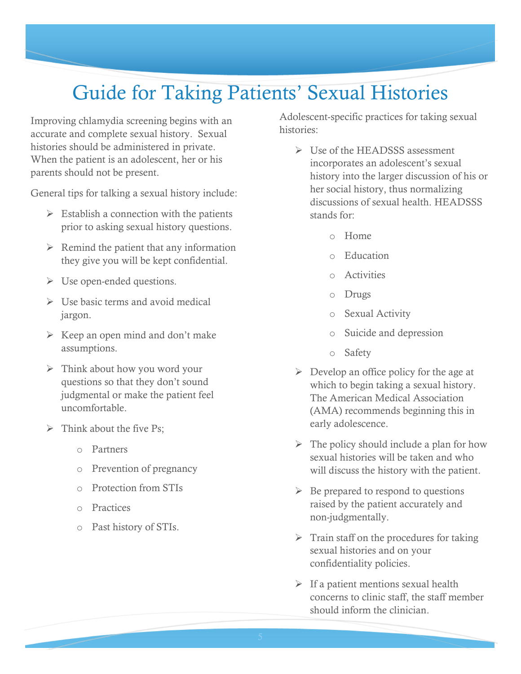# Guide for Taking Patients' Sexual Histories

Improving chlamydia screening begins with an accurate and complete sexual history. Sexual histories should be administered in private. When the patient is an adolescent, her or his parents should not be present.

General tips for talking a sexual history include:

- $\triangleright$  Establish a connection with the patients prior to asking sexual history questions.
- $\triangleright$  Remind the patient that any information they give you will be kept confidential.
- $\triangleright$  Use open-ended questions.
- $\triangleright$  Use basic terms and avoid medical jargon.
- $\triangleright$  Keep an open mind and don't make assumptions.
- $\triangleright$  Think about how you word your questions so that they don't sound judgmental or make the patient feel uncomfortable.
- $\triangleright$  Think about the five Ps;
	- o Partners
	- o Prevention of pregnancy
	- o Protection from STIs
	- o Practices
	- o Past history of STIs.

Adolescent-specific practices for taking sexual histories:

- $\triangleright$  Use of the HEADSSS assessment incorporates an adolescent's sexual history into the larger discussion of his or her social history, thus normalizing discussions of sexual health. HEADSSS stands for:
	- o Home
	- o Education
	- o Activities
	- o Drugs
	- o Sexual Activity
	- o Suicide and depression
	- o Safety
- $\triangleright$  Develop an office policy for the age at which to begin taking a sexual history. The American Medical Association (AMA) recommends beginning this in early adolescence.
- $\triangleright$  The policy should include a plan for how sexual histories will be taken and who will discuss the history with the patient.
- $\triangleright$  Be prepared to respond to questions raised by the patient accurately and non-judgmentally.
- $\triangleright$  Train staff on the procedures for taking sexual histories and on your confidentiality policies.
- $\triangleright$  If a patient mentions sexual health concerns to clinic staff, the staff member should inform the clinician.

trusted adult about sexual activity and

Always encourage teens to talk to a